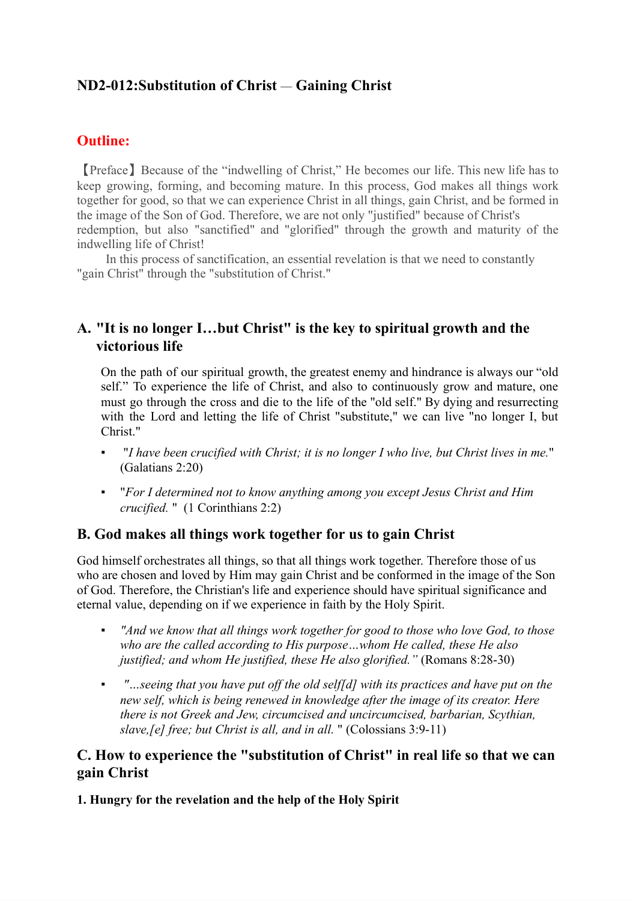# **ND2-012:Substitution of Christ** *—* **Gaining Christ**

# **Outline:**

【Preface】Because of the "indwelling of Christ," He becomes our life. This new life has to keep growing, forming, and becoming mature. In this process, God makes all things work together for good, so that we can experience Christ in all things, gain Christ, and be formed in the image of the Son of God. Therefore, we are not only "justified" because of Christ's redemption, but also "sanctified" and "glorified" through the growth and maturity of the indwelling life of Christ!

In this process of sanctification, an essential revelation is that we need to constantly "gain Christ" through the "substitution of Christ."

# **A. "It is no longer I…but Christ" is the key to spiritual growth and the victorious life**

On the path of our spiritual growth, the greatest enemy and hindrance is always our "old self." To experience the life of Christ, and also to continuously grow and mature, one must go through the cross and die to the life of the "old self." By dying and resurrecting with the Lord and letting the life of Christ "substitute," we can live "no longer I, but Christ."

- "*I have been crucified with Christ; it is no longer I who live, but Christ lives in me.*" (Galatians 2:20)
- "*For I determined not to know anything among you except Jesus Christ and Him crucified.* " (1 Corinthians 2:2)

## **B. God makes all things work together for us to gain Christ**

God himself orchestrates all things, so that all things work together. Therefore those of us who are chosen and loved by Him may gain Christ and be conformed in the image of the Son of God. Therefore, the Christian's life and experience should have spiritual significance and eternal value, depending on if we experience in faith by the Holy Spirit.

- *"And we know that all things work together for good to those who love God, to those who are the called according to His purpose…whom He called, these He also justified; and whom He justified, these He also glorified."* (Romans 8:28-30)
- *"…seeing that you have put off the old self[d] with its practices and have put on the new self, which is being renewed in knowledge after the image of its creator. Here there is not Greek and Jew, circumcised and uncircumcised, barbarian, Scythian, slave,[e] free; but Christ is all, and in all.* " (Colossians 3:9-11)

# **C. How to experience the "substitution of Christ" in real life so that we can gain Christ**

**1. Hungry for the revelation and the help of the Holy Spirit**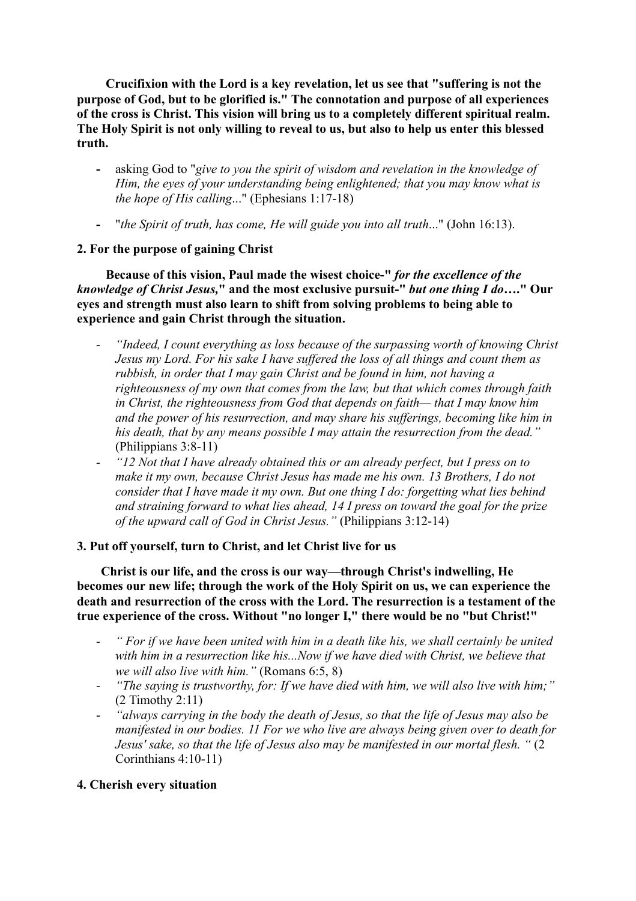**Crucifixion with the Lord is a key revelation, let us see that "suffering is not the purpose of God, but to be glorified is." The connotation and purpose of all experiences of the cross is Christ. This vision will bring us to a completely different spiritual realm. The Holy Spirit is not only willing to reveal to us, but also to help us enter this blessed truth.**

- **-** asking God to "*give to you the spirit of wisdom and revelation in the knowledge of Him, the eyes of your understanding being enlightened; that you may know what is the hope of His calling*..." (Ephesians 1:17-18)
- **-** "*the Spirit of truth, has come, He will guide you into all truth*..." (John 16:13).

## **2. For the purpose of gaining Christ**

**Because of this vision, Paul made the wisest choice-"** *for the excellence of the knowledge of Christ Jesus,***" and the most exclusive pursuit-"** *but one thing I do***…." Our eyes and strength must also learn to shift from solving problems to being able to experience and gain Christ through the situation.**

- *- "Indeed, I count everything as loss because of the surpassing worth of knowing Christ Jesus my Lord. For his sake I have suffered the loss of all things and count them as rubbish, in order that I may gain Christ and be found in him, not having a righteousness of my own that comes from the law, but that which comes through faith in Christ, the righteousness from God that depends on faith— that I may know him and the power of his resurrection, and may share his sufferings, becoming like him in his death, that by any means possible I may attain the resurrection from the dead."* (Philippians 3:8-11)
- *- "12 Not that I have already obtained this or am already perfect, but I press on to make it my own, because Christ Jesus has made me his own. 13 Brothers, I do not consider that I have made it my own. But one thing I do: forgetting what lies behind and straining forward to what lies ahead, 14 I press on toward the goal for the prize of the upward call of God in Christ Jesus."* (Philippians 3:12-14)

## **3. Put off yourself, turn to Christ, and let Christ live for us**

**Christ is our life, and the cross is our way—through Christ's indwelling, He becomes our new life; through the work of the Holy Spirit on us, we can experience the death and resurrection of the cross with the Lord. The resurrection is a testament of the true experience of the cross. Without "no longer I," there would be no "but Christ!"**

- " For if we have been united with him in a death like his, we shall certainly be united *with him in a resurrection like his...Now if we have died with Christ, we believe that we will also live with him."* (Romans 6:5, 8)
- *"The saying is trustworthy, for: If we have died with him, we will also live with him;"* (2 Timothy 2:11)
- *"always carrying in the body the death of Jesus, so that the life of Jesus may also be manifested in our bodies. 11 For we who live are always being given over to death for Jesus' sake, so that the life of Jesus also may be manifested in our mortal flesh. "* (2 Corinthians 4:10-11)

## **4. Cherish every situation**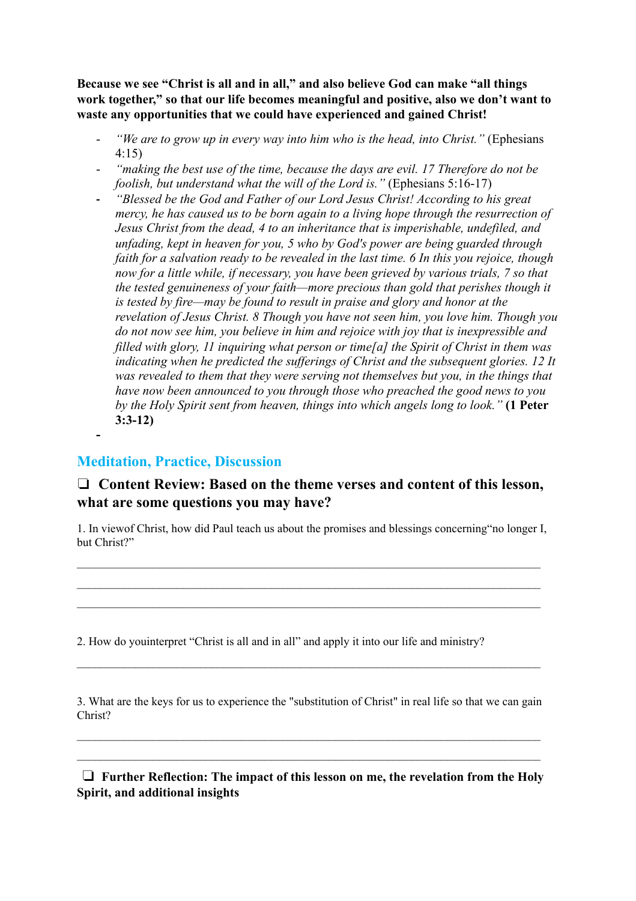**Because we see "Christ is all and in all," and also believe God can make "all things work together," so that our life becomes meaningful and positive, also we don't want to waste any opportunities that we could have experienced and gained Christ!**

- *"We are to grow up in every way into him who is the head, into Christ."* (Ephesians 4:15)
- *"making the best use of the time, because the days are evil. 17 Therefore do not be foolish, but understand what the will of the Lord is."* (Ephesians 5:16-17)
- **-** *"Blessed be the God and Father of our Lord Jesus Christ! According to his great mercy, he has caused us to be born again to a living hope through the resurrection of Jesus Christ from the dead, 4 to an inheritance that is imperishable, undefiled, and unfading, kept in heaven for you, 5 who by God's power are being guarded through faith for a salvation ready to be revealed in the last time. 6 In this you rejoice, though now for a little while, if necessary, you have been grieved by various trials, 7 so that the tested genuineness of your faith—more precious than gold that perishes though it is tested by fire—may be found to result in praise and glory and honor at the revelation of Jesus Christ. 8 Though you have not seen him, you love him. Though you do not now see him, you believe in him and rejoice with joy that is inexpressible and filled with glory, 11 inquiring what person or time[a] the Spirit of Christ in them was indicating when he predicted the sufferings of Christ and the subsequent glories. 12 It was revealed to them that they were serving not themselves but you, in the things that have now been announced to you through those who preached the good news to you by the Holy Spirit sent from heaven, things into which angels long to look."* **(1 Peter 3:3-12) -**

# **Meditation, Practice, Discussion**

# ❏ **Content Review: Based on the theme verses and content of this lesson, what are some questions you may have?**

1. In viewof Christ, how did Paul teach us about the promises and blessings concerning"no longer I, but Christ?"

 $\mathcal{L}_\mathcal{L} = \{ \mathcal{L}_\mathcal{L} = \{ \mathcal{L}_\mathcal{L} = \{ \mathcal{L}_\mathcal{L} = \{ \mathcal{L}_\mathcal{L} = \{ \mathcal{L}_\mathcal{L} = \{ \mathcal{L}_\mathcal{L} = \{ \mathcal{L}_\mathcal{L} = \{ \mathcal{L}_\mathcal{L} = \{ \mathcal{L}_\mathcal{L} = \{ \mathcal{L}_\mathcal{L} = \{ \mathcal{L}_\mathcal{L} = \{ \mathcal{L}_\mathcal{L} = \{ \mathcal{L}_\mathcal{L} = \{ \mathcal{L}_\mathcal{$  $\mathcal{L}_\mathcal{L} = \{ \mathcal{L}_\mathcal{L} = \{ \mathcal{L}_\mathcal{L} = \{ \mathcal{L}_\mathcal{L} = \{ \mathcal{L}_\mathcal{L} = \{ \mathcal{L}_\mathcal{L} = \{ \mathcal{L}_\mathcal{L} = \{ \mathcal{L}_\mathcal{L} = \{ \mathcal{L}_\mathcal{L} = \{ \mathcal{L}_\mathcal{L} = \{ \mathcal{L}_\mathcal{L} = \{ \mathcal{L}_\mathcal{L} = \{ \mathcal{L}_\mathcal{L} = \{ \mathcal{L}_\mathcal{L} = \{ \mathcal{L}_\mathcal{$ 

2. How do youinterpret "Christ is all and in all" and apply it into our life and ministry?

3. What are the keys for us to experience the "substitution of Christ" in real life so that we can gain Christ?

 $\mathcal{L}_\mathcal{L} = \{ \mathcal{L}_\mathcal{L} = \{ \mathcal{L}_\mathcal{L} = \{ \mathcal{L}_\mathcal{L} = \{ \mathcal{L}_\mathcal{L} = \{ \mathcal{L}_\mathcal{L} = \{ \mathcal{L}_\mathcal{L} = \{ \mathcal{L}_\mathcal{L} = \{ \mathcal{L}_\mathcal{L} = \{ \mathcal{L}_\mathcal{L} = \{ \mathcal{L}_\mathcal{L} = \{ \mathcal{L}_\mathcal{L} = \{ \mathcal{L}_\mathcal{L} = \{ \mathcal{L}_\mathcal{L} = \{ \mathcal{L}_\mathcal{$  $\mathcal{L}_\mathcal{L} = \{ \mathcal{L}_\mathcal{L} = \{ \mathcal{L}_\mathcal{L} = \{ \mathcal{L}_\mathcal{L} = \{ \mathcal{L}_\mathcal{L} = \{ \mathcal{L}_\mathcal{L} = \{ \mathcal{L}_\mathcal{L} = \{ \mathcal{L}_\mathcal{L} = \{ \mathcal{L}_\mathcal{L} = \{ \mathcal{L}_\mathcal{L} = \{ \mathcal{L}_\mathcal{L} = \{ \mathcal{L}_\mathcal{L} = \{ \mathcal{L}_\mathcal{L} = \{ \mathcal{L}_\mathcal{L} = \{ \mathcal{L}_\mathcal{$ 

 $\mathcal{L}_\mathcal{L} = \{ \mathcal{L}_\mathcal{L} = \{ \mathcal{L}_\mathcal{L} = \{ \mathcal{L}_\mathcal{L} = \{ \mathcal{L}_\mathcal{L} = \{ \mathcal{L}_\mathcal{L} = \{ \mathcal{L}_\mathcal{L} = \{ \mathcal{L}_\mathcal{L} = \{ \mathcal{L}_\mathcal{L} = \{ \mathcal{L}_\mathcal{L} = \{ \mathcal{L}_\mathcal{L} = \{ \mathcal{L}_\mathcal{L} = \{ \mathcal{L}_\mathcal{L} = \{ \mathcal{L}_\mathcal{L} = \{ \mathcal{L}_\mathcal{$ 

<sup>❏</sup> **Further Reflection: The impact of this lesson on me, the revelation from the Holy Spirit, and additional insights**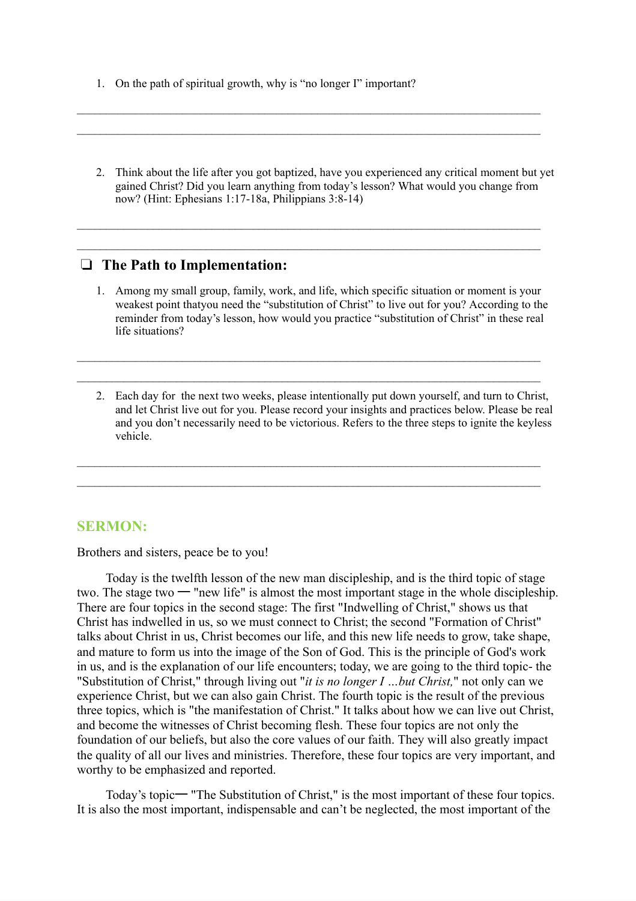- 1. On the path of spiritual growth, why is "no longer I" important?
- 2. Think about the life after you got baptized, have you experienced any critical moment but yet gained Christ? Did you learn anything from today's lesson? What would you change from now? (Hint: Ephesians 1:17-18a, Philippians 3:8-14)

 $\mathcal{L}_\mathcal{L} = \{ \mathcal{L}_\mathcal{L} = \{ \mathcal{L}_\mathcal{L} = \{ \mathcal{L}_\mathcal{L} = \{ \mathcal{L}_\mathcal{L} = \{ \mathcal{L}_\mathcal{L} = \{ \mathcal{L}_\mathcal{L} = \{ \mathcal{L}_\mathcal{L} = \{ \mathcal{L}_\mathcal{L} = \{ \mathcal{L}_\mathcal{L} = \{ \mathcal{L}_\mathcal{L} = \{ \mathcal{L}_\mathcal{L} = \{ \mathcal{L}_\mathcal{L} = \{ \mathcal{L}_\mathcal{L} = \{ \mathcal{L}_\mathcal{$  $\mathcal{L}_\mathcal{L} = \{ \mathcal{L}_\mathcal{L} = \{ \mathcal{L}_\mathcal{L} = \{ \mathcal{L}_\mathcal{L} = \{ \mathcal{L}_\mathcal{L} = \{ \mathcal{L}_\mathcal{L} = \{ \mathcal{L}_\mathcal{L} = \{ \mathcal{L}_\mathcal{L} = \{ \mathcal{L}_\mathcal{L} = \{ \mathcal{L}_\mathcal{L} = \{ \mathcal{L}_\mathcal{L} = \{ \mathcal{L}_\mathcal{L} = \{ \mathcal{L}_\mathcal{L} = \{ \mathcal{L}_\mathcal{L} = \{ \mathcal{L}_\mathcal{$ 

 $\mathcal{L}_\mathcal{L} = \{ \mathcal{L}_\mathcal{L} = \{ \mathcal{L}_\mathcal{L} = \{ \mathcal{L}_\mathcal{L} = \{ \mathcal{L}_\mathcal{L} = \{ \mathcal{L}_\mathcal{L} = \{ \mathcal{L}_\mathcal{L} = \{ \mathcal{L}_\mathcal{L} = \{ \mathcal{L}_\mathcal{L} = \{ \mathcal{L}_\mathcal{L} = \{ \mathcal{L}_\mathcal{L} = \{ \mathcal{L}_\mathcal{L} = \{ \mathcal{L}_\mathcal{L} = \{ \mathcal{L}_\mathcal{L} = \{ \mathcal{L}_\mathcal{$  $\mathcal{L}_\mathcal{L} = \{ \mathcal{L}_\mathcal{L} = \{ \mathcal{L}_\mathcal{L} = \{ \mathcal{L}_\mathcal{L} = \{ \mathcal{L}_\mathcal{L} = \{ \mathcal{L}_\mathcal{L} = \{ \mathcal{L}_\mathcal{L} = \{ \mathcal{L}_\mathcal{L} = \{ \mathcal{L}_\mathcal{L} = \{ \mathcal{L}_\mathcal{L} = \{ \mathcal{L}_\mathcal{L} = \{ \mathcal{L}_\mathcal{L} = \{ \mathcal{L}_\mathcal{L} = \{ \mathcal{L}_\mathcal{L} = \{ \mathcal{L}_\mathcal{$ 

### ❏ **The Path to Implementation:**

1. Among my small group, family, work, and life, which specific situation or moment is your weakest point thatyou need the "substitution of Christ" to live out for you? According to the reminder from today's lesson, how would you practice "substitution of Christ" in these real life situations?

 $\_$  , and the contribution of the contribution of the contribution of the contribution of the contribution of  $\mathcal{L}_\text{max}$  $\_$  , and the contribution of the contribution of the contribution of the contribution of the contribution of  $\mathcal{L}_\text{max}$ 

 $\_$  , and the contribution of the contribution of the contribution of the contribution of the contribution of  $\mathcal{L}_\text{max}$  $\_$  , and the contribution of the contribution of the contribution of the contribution of the contribution of  $\mathcal{L}_\text{max}$ 

2. Each day for the next two weeks, please intentionally put down yourself, and turn to Christ, and let Christ live out for you. Please record your insights and practices below. Please be real and you don't necessarily need to be victorious. Refers to the three steps to ignite the keyless vehicle.

## **SERMON:**

Brothers and sisters, peace be to you!

Today is the twelfth lesson of the new man discipleship, and is the third topic of stage two. The stage two 一 "new life" is almost the most important stage in the whole discipleship. There are four topics in the second stage: The first "Indwelling of Christ," shows us that Christ has indwelled in us, so we must connect to Christ; the second "Formation of Christ" talks about Christ in us, Christ becomes our life, and this new life needs to grow, take shape, and mature to form us into the image of the Son of God. This is the principle of God's work in us, and is the explanation of our life encounters; today, we are going to the third topic- the "Substitution of Christ," through living out "*it is no longer I …but Christ,*" not only can we experience Christ, but we can also gain Christ. The fourth topic is the result of the previous three topics, which is "the manifestation of Christ." It talks about how we can live out Christ, and become the witnesses of Christ becoming flesh. These four topics are not only the foundation of our beliefs, but also the core values of our faith. They will also greatly impact the quality of all our lives and ministries. Therefore, these four topics are very important, and worthy to be emphasized and reported.

Today's topic一 "The Substitution of Christ," is the most important of these four topics. It is also the most important, indispensable and can't be neglected, the most important of the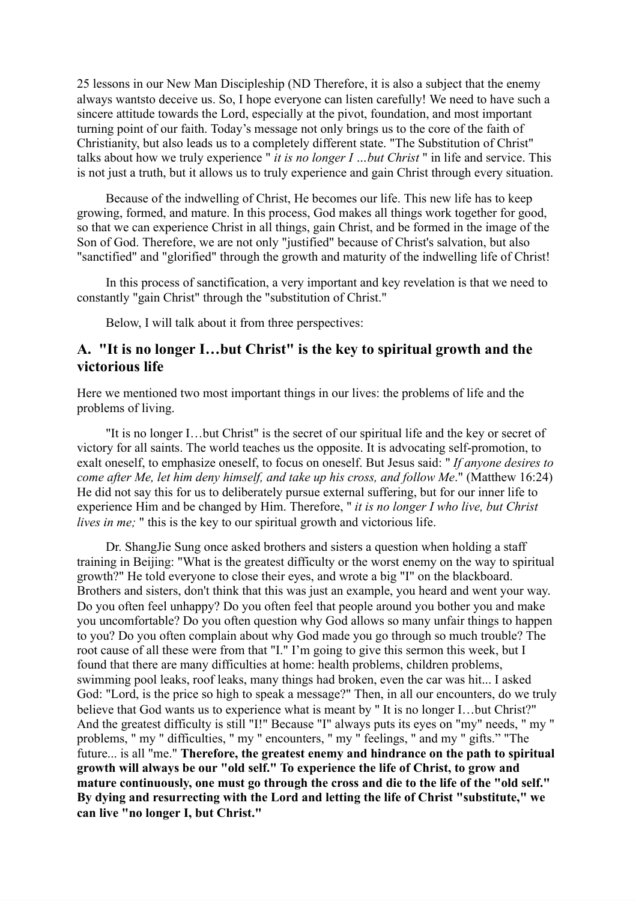25 lessons in our New Man Discipleship (ND Therefore, it is also a subject that the enemy always wantsto deceive us. So, I hope everyone can listen carefully! We need to have such a sincere attitude towards the Lord, especially at the pivot, foundation, and most important turning point of our faith. Today's message not only brings us to the core of the faith of Christianity, but also leads us to a completely different state. "The Substitution of Christ" talks about how we truly experience " *it is no longer I …but Christ* " in life and service. This is not just a truth, but it allows us to truly experience and gain Christ through every situation.

Because of the indwelling of Christ, He becomes our life. This new life has to keep growing, formed, and mature. In this process, God makes all things work together for good, so that we can experience Christ in all things, gain Christ, and be formed in the image of the Son of God. Therefore, we are not only "justified" because of Christ's salvation, but also "sanctified" and "glorified" through the growth and maturity of the indwelling life of Christ!

In this process of sanctification, a very important and key revelation is that we need to constantly "gain Christ" through the "substitution of Christ."

Below, I will talk about it from three perspectives:

# **A. "It is no longer I…but Christ" is the key to spiritual growth and the victorious life**

Here we mentioned two most important things in our lives: the problems of life and the problems of living.

"It is no longer I…but Christ" is the secret of our spiritual life and the key or secret of victory for all saints. The world teaches us the opposite. It is advocating self-promotion, to exalt oneself, to emphasize oneself, to focus on oneself. But Jesus said: " *If anyone desires to come after Me, let him deny himself, and take up his cross, and follow Me*." (Matthew 16:24) He did not say this for us to deliberately pursue external suffering, but for our inner life to experience Him and be changed by Him. Therefore, " *it is no longer I who live, but Christ lives in me;* " this is the key to our spiritual growth and victorious life.

Dr. ShangJie Sung once asked brothers and sisters a question when holding a staff training in Beijing: "What is the greatest difficulty or the worst enemy on the way to spiritual growth?" He told everyone to close their eyes, and wrote a big "I" on the blackboard. Brothers and sisters, don't think that this was just an example, you heard and went your way. Do you often feel unhappy? Do you often feel that people around you bother you and make you uncomfortable? Do you often question why God allows so many unfair things to happen to you? Do you often complain about why God made you go through so much trouble? The root cause of all these were from that "I." I'm going to give this sermon this week, but I found that there are many difficulties at home: health problems, children problems, swimming pool leaks, roof leaks, many things had broken, even the car was hit... I asked God: "Lord, is the price so high to speak a message?" Then, in all our encounters, do we truly believe that God wants us to experience what is meant by "It is no longer I...but Christ?" And the greatest difficulty is still "I!" Because "I" always puts its eyes on "my" needs, " my " problems, " my " difficulties, " my " encounters, " my " feelings, " and my " gifts." "The future... is all "me." **Therefore, the greatest enemy and hindrance on the path to spiritual growth will always be our "old self." To experience the life of Christ, to grow and mature continuously, one must go through the cross and die to the life of the "old self." By dying and resurrecting with the Lord and letting the life of Christ "substitute," we can live "no longer I, but Christ."**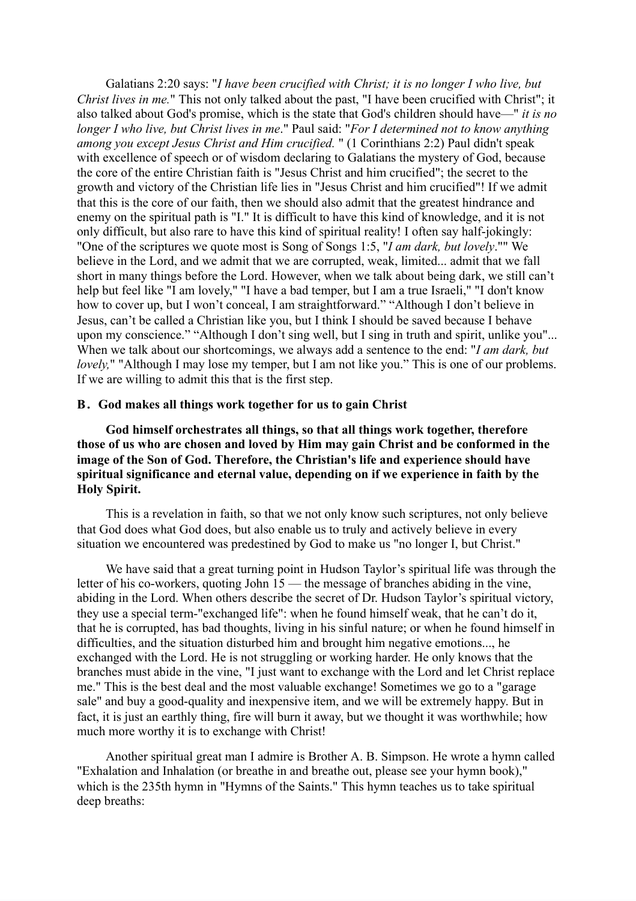Galatians 2:20 says: "*I have been crucified with Christ; it is no longer I who live, but Christ lives in me.*" This not only talked about the past, "I have been crucified with Christ"; it also talked about God's promise, which is the state that God's children should have—" *it is no longer I who live, but Christ lives in me*." Paul said: "*For I determined not to know anything among you except Jesus Christ and Him crucified.* " (1 Corinthians 2:2) Paul didn't speak with excellence of speech or of wisdom declaring to Galatians the mystery of God, because the core of the entire Christian faith is "Jesus Christ and him crucified"; the secret to the growth and victory of the Christian life lies in "Jesus Christ and him crucified"! If we admit that this is the core of our faith, then we should also admit that the greatest hindrance and enemy on the spiritual path is "I." It is difficult to have this kind of knowledge, and it is not only difficult, but also rare to have this kind of spiritual reality! I often say half-jokingly: "One of the scriptures we quote most is Song of Songs 1:5, "*I am dark, but lovely*."" We believe in the Lord, and we admit that we are corrupted, weak, limited... admit that we fall short in many things before the Lord. However, when we talk about being dark, we still can't help but feel like "I am lovely," "I have a bad temper, but I am a true Israeli," "I don't know how to cover up, but I won't conceal, I am straightforward." "Although I don't believe in Jesus, can't be called a Christian like you, but I think I should be saved because I behave upon my conscience." "Although I don't sing well, but I sing in truth and spirit, unlike you"... When we talk about our shortcomings, we always add a sentence to the end: "*I am dark, but lovely,*" "Although I may lose my temper, but I am not like you." This is one of our problems. If we are willing to admit this that is the first step.

#### **B.God makes all things work together for us to gain Christ**

**God himself orchestrates all things, so that all things work together, therefore those of us who are chosen and loved by Him may gain Christ and be conformed in the image of the Son of God. Therefore, the Christian's life and experience should have spiritual significance and eternal value, depending on if we experience in faith by the Holy Spirit.**

This is a revelation in faith, so that we not only know such scriptures, not only believe that God does what God does, but also enable us to truly and actively believe in every situation we encountered was predestined by God to make us "no longer I, but Christ."

We have said that a great turning point in Hudson Taylor's spiritual life was through the letter of his co-workers, quoting John 15 — the message of branches abiding in the vine, abiding in the Lord. When others describe the secret of Dr. Hudson Taylor's spiritual victory, they use a special term-"exchanged life": when he found himself weak, that he can't do it, that he is corrupted, has bad thoughts, living in his sinful nature; or when he found himself in difficulties, and the situation disturbed him and brought him negative emotions..., he exchanged with the Lord. He is not struggling or working harder. He only knows that the branches must abide in the vine, "I just want to exchange with the Lord and let Christ replace me." This is the best deal and the most valuable exchange! Sometimes we go to a "garage sale" and buy a good-quality and inexpensive item, and we will be extremely happy. But in fact, it is just an earthly thing, fire will burn it away, but we thought it was worthwhile; how much more worthy it is to exchange with Christ!

Another spiritual great man I admire is Brother A. B. Simpson. He wrote a hymn called "Exhalation and Inhalation (or breathe in and breathe out, please see your hymn book)," which is the 235th hymn in "Hymns of the Saints." This hymn teaches us to take spiritual deep breaths: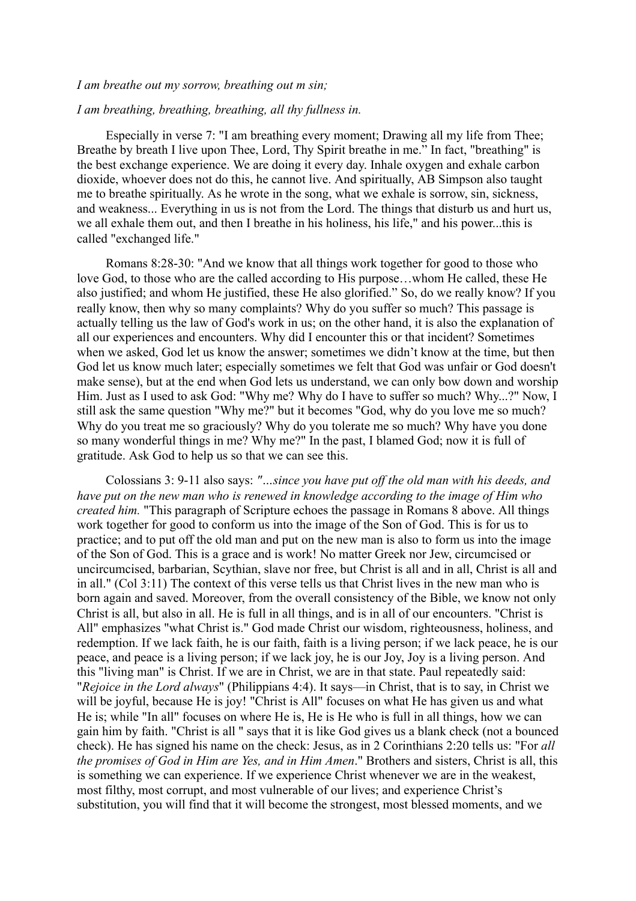### *I am breathe out my sorrow, breathing out m sin;*

#### *I am breathing, breathing, breathing, all thy fullness in.*

Especially in verse 7: "I am breathing every moment; Drawing all my life from Thee; Breathe by breath I live upon Thee, Lord, Thy Spirit breathe in me." In fact, "breathing" is the best exchange experience. We are doing it every day. Inhale oxygen and exhale carbon dioxide, whoever does not do this, he cannot live. And spiritually, AB Simpson also taught me to breathe spiritually. As he wrote in the song, what we exhale is sorrow, sin, sickness, and weakness... Everything in us is not from the Lord. The things that disturb us and hurt us, we all exhale them out, and then I breathe in his holiness, his life," and his power...this is called "exchanged life."

Romans 8:28-30: "And we know that all things work together for good to those who love God, to those who are the called according to His purpose…whom He called, these He also justified; and whom He justified, these He also glorified." So, do we really know? If you really know, then why so many complaints? Why do you suffer so much? This passage is actually telling us the law of God's work in us; on the other hand, it is also the explanation of all our experiences and encounters. Why did I encounter this or that incident? Sometimes when we asked, God let us know the answer; sometimes we didn't know at the time, but then God let us know much later; especially sometimes we felt that God was unfair or God doesn't make sense), but at the end when God lets us understand, we can only bow down and worship Him. Just as I used to ask God: "Why me? Why do I have to suffer so much? Why...?" Now, I still ask the same question "Why me?" but it becomes "God, why do you love me so much? Why do you treat me so graciously? Why do you tolerate me so much? Why have you done so many wonderful things in me? Why me?" In the past, I blamed God; now it is full of gratitude. Ask God to help us so that we can see this.

Colossians 3: 9-11 also says: *"…since you have put off the old man with his deeds, and have put on the new man who is renewed in knowledge according to the image of Him who created him.* "This paragraph of Scripture echoes the passage in Romans 8 above. All things work together for good to conform us into the image of the Son of God. This is for us to practice; and to put off the old man and put on the new man is also to form us into the image of the Son of God. This is a grace and is work! No matter Greek nor Jew, circumcised or uncircumcised, barbarian, Scythian, slave nor free, but Christ is all and in all, Christ is all and in all." (Col 3:11) The context of this verse tells us that Christ lives in the new man who is born again and saved. Moreover, from the overall consistency of the Bible, we know not only Christ is all, but also in all. He is full in all things, and is in all of our encounters. "Christ is All" emphasizes "what Christ is." God made Christ our wisdom, righteousness, holiness, and redemption. If we lack faith, he is our faith, faith is a living person; if we lack peace, he is our peace, and peace is a living person; if we lack joy, he is our Joy, Joy is a living person. And this "living man" is Christ. If we are in Christ, we are in that state. Paul repeatedly said: "*Rejoice in the Lord always*" (Philippians 4:4). It says—in Christ, that is to say, in Christ we will be joyful, because He is joy! "Christ is All" focuses on what He has given us and what He is; while "In all" focuses on where He is, He is He who is full in all things, how we can gain him by faith. "Christ is all '' says that it is like God gives us a blank check (not a bounced check). He has signed his name on the check: Jesus, as in 2 Corinthians 2:20 tells us: "For *all the promises of God in Him are Yes, and in Him Amen*." Brothers and sisters, Christ is all, this is something we can experience. If we experience Christ whenever we are in the weakest, most filthy, most corrupt, and most vulnerable of our lives; and experience Christ's substitution, you will find that it will become the strongest, most blessed moments, and we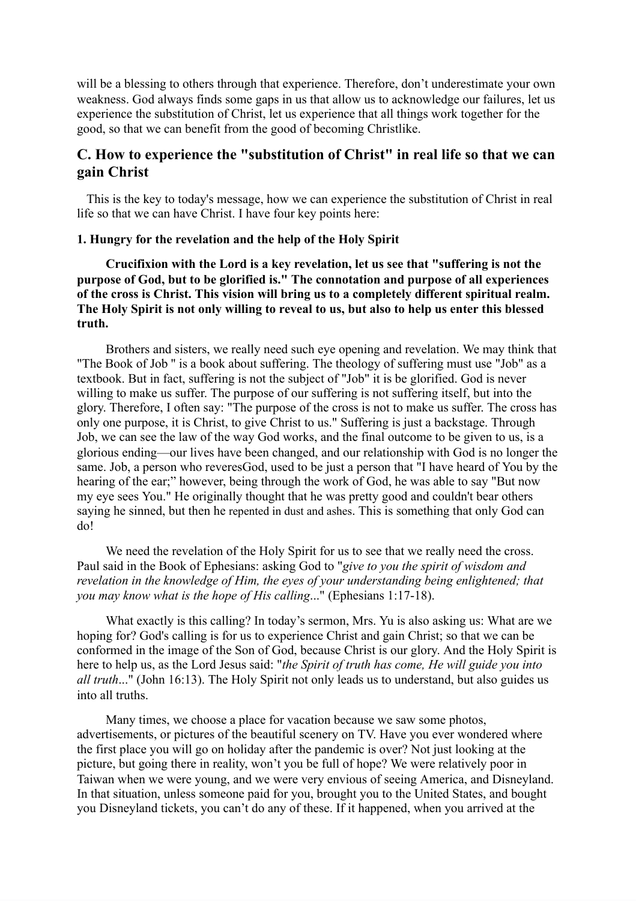will be a blessing to others through that experience. Therefore, don't underestimate your own weakness. God always finds some gaps in us that allow us to acknowledge our failures, let us experience the substitution of Christ, let us experience that all things work together for the good, so that we can benefit from the good of becoming Christlike.

# **C. How to experience the "substitution of Christ" in real life so that we can gain Christ**

 This is the key to today's message, how we can experience the substitution of Christ in real life so that we can have Christ. I have four key points here:

### **1. Hungry for the revelation and the help of the Holy Spirit**

**Crucifixion with the Lord is a key revelation, let us see that "suffering is not the purpose of God, but to be glorified is." The connotation and purpose of all experiences of the cross is Christ. This vision will bring us to a completely different spiritual realm. The Holy Spirit is not only willing to reveal to us, but also to help us enter this blessed truth.**

Brothers and sisters, we really need such eye opening and revelation. We may think that "The Book of Job '' is a book about suffering. The theology of suffering must use "Job" as a textbook. But in fact, suffering is not the subject of "Job" it is be glorified. God is never willing to make us suffer. The purpose of our suffering is not suffering itself, but into the glory. Therefore, I often say: "The purpose of the cross is not to make us suffer. The cross has only one purpose, it is Christ, to give Christ to us." Suffering is just a backstage. Through Job, we can see the law of the way God works, and the final outcome to be given to us, is a glorious ending—our lives have been changed, and our relationship with God is no longer the same. Job, a person who reveresGod, used to be just a person that "I have heard of You by the hearing of the ear;" however, being through the work of God, he was able to say "But now my eye sees You." He originally thought that he was pretty good and couldn't bear others saying he sinned, but then he repented in dust and ashes. This is something that only God can do!

We need the revelation of the Holy Spirit for us to see that we really need the cross. Paul said in the Book of Ephesians: asking God to "*give to you the spirit of wisdom and revelation in the knowledge of Him, the eyes of your understanding being enlightened; that you may know what is the hope of His calling*..." (Ephesians 1:17-18).

What exactly is this calling? In today's sermon, Mrs. Yu is also asking us: What are we hoping for? God's calling is for us to experience Christ and gain Christ; so that we can be conformed in the image of the Son of God, because Christ is our glory. And the Holy Spirit is here to help us, as the Lord Jesus said: "*the Spirit of truth has come, He will guide you into all truth*..." (John 16:13). The Holy Spirit not only leads us to understand, but also guides us into all truths.

Many times, we choose a place for vacation because we saw some photos, advertisements, or pictures of the beautiful scenery on TV. Have you ever wondered where the first place you will go on holiday after the pandemic is over? Not just looking at the picture, but going there in reality, won't you be full of hope? We were relatively poor in Taiwan when we were young, and we were very envious of seeing America, and Disneyland. In that situation, unless someone paid for you, brought you to the United States, and bought you Disneyland tickets, you can't do any of these. If it happened, when you arrived at the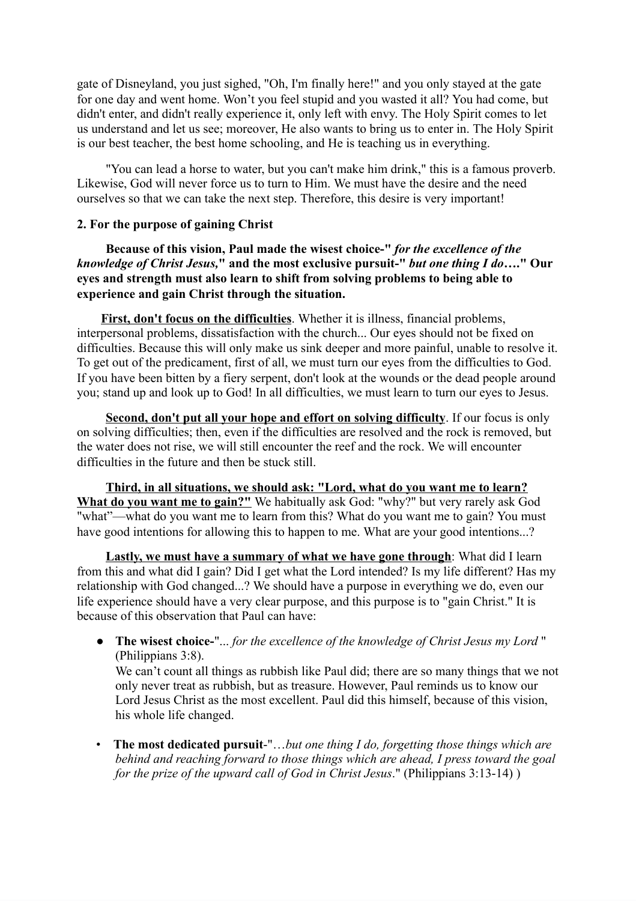gate of Disneyland, you just sighed, "Oh, I'm finally here!" and you only stayed at the gate for one day and went home. Won't you feel stupid and you wasted it all? You had come, but didn't enter, and didn't really experience it, only left with envy. The Holy Spirit comes to let us understand and let us see; moreover, He also wants to bring us to enter in. The Holy Spirit is our best teacher, the best home schooling, and He is teaching us in everything.

"You can lead a horse to water, but you can't make him drink," this is a famous proverb. Likewise, God will never force us to turn to Him. We must have the desire and the need ourselves so that we can take the next step. Therefore, this desire is very important!

## **2. For the purpose of gaining Christ**

**Because of this vision, Paul made the wisest choice-"** *for the excellence of the knowledge of Christ Jesus,***" and the most exclusive pursuit-"** *but one thing I do***…." Our eyes and strength must also learn to shift from solving problems to being able to experience and gain Christ through the situation.**

**First, don't focus on the difficulties**. Whether it is illness, financial problems, interpersonal problems, dissatisfaction with the church... Our eyes should not be fixed on difficulties. Because this will only make us sink deeper and more painful, unable to resolve it. To get out of the predicament, first of all, we must turn our eyes from the difficulties to God. If you have been bitten by a fiery serpent, don't look at the wounds or the dead people around you; stand up and look up to God! In all difficulties, we must learn to turn our eyes to Jesus.

**Second, don't put all your hope and effort on solving difficulty**. If our focus is only on solving difficulties; then, even if the difficulties are resolved and the rock is removed, but the water does not rise, we will still encounter the reef and the rock. We will encounter difficulties in the future and then be stuck still.

**Third, in all situations, we should ask: "Lord, what do you want me to learn? What do you want me to gain?"** We habitually ask God: "why?" but very rarely ask God "what"—what do you want me to learn from this? What do you want me to gain? You must have good intentions for allowing this to happen to me. What are your good intentions...?

**Lastly, we must have a summary of what we have gone through**: What did I learn from this and what did I gain? Did I get what the Lord intended? Is my life different? Has my relationship with God changed...? We should have a purpose in everything we do, even our life experience should have a very clear purpose, and this purpose is to "gain Christ." It is because of this observation that Paul can have:

● **The wisest choice-**"... *for the excellence of the knowledge of Christ Jesus my Lord* " (Philippians 3:8). We can't count all things as rubbish like Paul did; there are so many things that we not only never treat as rubbish, but as treasure. However, Paul reminds us to know our Lord Jesus Christ as the most excellent. Paul did this himself, because of this vision,

his whole life changed.

• **The most dedicated pursuit**-"…*but one thing I do, forgetting those things which are behind and reaching forward to those things which are ahead, I press toward the goal for the prize of the upward call of God in Christ Jesus*." (Philippians 3:13-14) )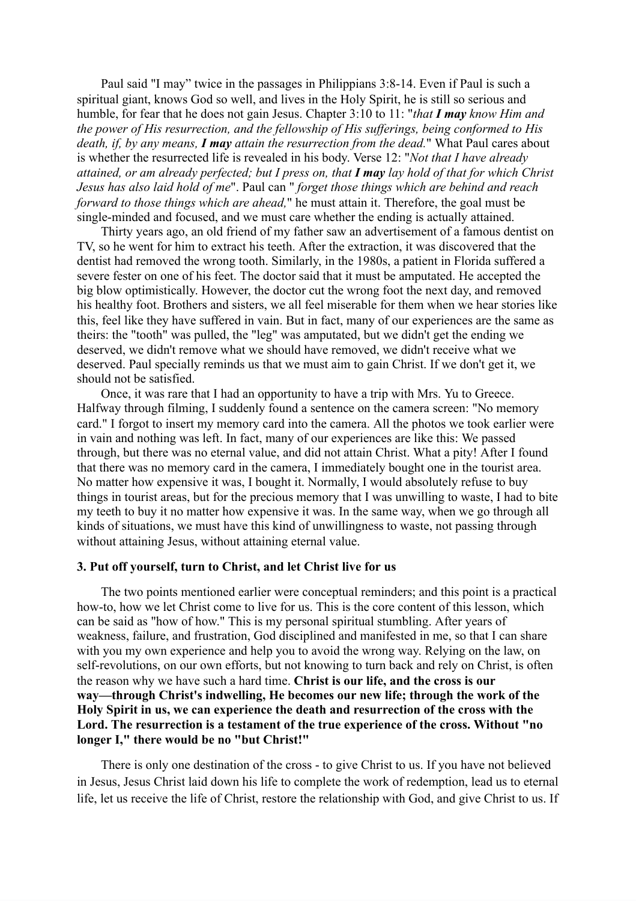Paul said "I may" twice in the passages in Philippians 3:8-14. Even if Paul is such a spiritual giant, knows God so well, and lives in the Holy Spirit, he is still so serious and humble, for fear that he does not gain Jesus. Chapter 3:10 to 11: "*that I may know Him and the power of His resurrection, and the fellowship of His sufferings, being conformed to His death, if, by any means, I may attain the resurrection from the dead.*" What Paul cares about is whether the resurrected life is revealed in his body. Verse 12: "*Not that I have already* attained, or am already perfected; but I press on, that  $I$  may lay hold of that for which Christ *Jesus has also laid hold of me*". Paul can " *forget those things which are behind and reach forward to those things which are ahead,*" he must attain it. Therefore, the goal must be single-minded and focused, and we must care whether the ending is actually attained.

Thirty years ago, an old friend of my father saw an advertisement of a famous dentist on TV, so he went for him to extract his teeth. After the extraction, it was discovered that the dentist had removed the wrong tooth. Similarly, in the 1980s, a patient in Florida suffered a severe fester on one of his feet. The doctor said that it must be amputated. He accepted the big blow optimistically. However, the doctor cut the wrong foot the next day, and removed his healthy foot. Brothers and sisters, we all feel miserable for them when we hear stories like this, feel like they have suffered in vain. But in fact, many of our experiences are the same as theirs: the "tooth" was pulled, the "leg" was amputated, but we didn't get the ending we deserved, we didn't remove what we should have removed, we didn't receive what we deserved. Paul specially reminds us that we must aim to gain Christ. If we don't get it, we should not be satisfied.

Once, it was rare that I had an opportunity to have a trip with Mrs. Yu to Greece. Halfway through filming, I suddenly found a sentence on the camera screen: "No memory card." I forgot to insert my memory card into the camera. All the photos we took earlier were in vain and nothing was left. In fact, many of our experiences are like this: We passed through, but there was no eternal value, and did not attain Christ. What a pity! After I found that there was no memory card in the camera, I immediately bought one in the tourist area. No matter how expensive it was, I bought it. Normally, I would absolutely refuse to buy things in tourist areas, but for the precious memory that I was unwilling to waste, I had to bite my teeth to buy it no matter how expensive it was. In the same way, when we go through all kinds of situations, we must have this kind of unwillingness to waste, not passing through without attaining Jesus, without attaining eternal value.

#### **3. Put off yourself, turn to Christ, and let Christ live for us**

The two points mentioned earlier were conceptual reminders; and this point is a practical how-to, how we let Christ come to live for us. This is the core content of this lesson, which can be said as "how of how." This is my personal spiritual stumbling. After years of weakness, failure, and frustration, God disciplined and manifested in me, so that I can share with you my own experience and help you to avoid the wrong way. Relying on the law, on self-revolutions, on our own efforts, but not knowing to turn back and rely on Christ, is often the reason why we have such a hard time. **Christ is our life, and the cross is our way—through Christ's indwelling, He becomes our new life; through the work of the Holy Spirit in us, we can experience the death and resurrection of the cross with the Lord. The resurrection is a testament of the true experience of the cross. Without "no longer I," there would be no "but Christ!"**

There is only one destination of the cross - to give Christ to us. If you have not believed in Jesus, Jesus Christ laid down his life to complete the work of redemption, lead us to eternal life, let us receive the life of Christ, restore the relationship with God, and give Christ to us. If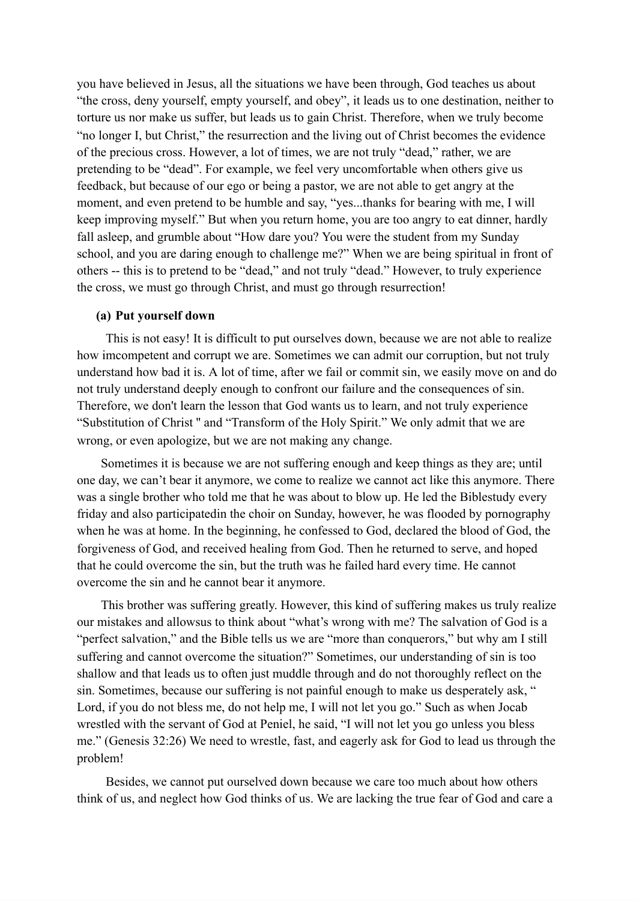you have believed in Jesus, all the situations we have been through, God teaches us about "the cross, deny yourself, empty yourself, and obey", it leads us to one destination, neither to torture us nor make us suffer, but leads us to gain Christ. Therefore, when we truly become "no longer I, but Christ," the resurrection and the living out of Christ becomes the evidence of the precious cross. However, a lot of times, we are not truly "dead," rather, we are pretending to be "dead". For example, we feel very uncomfortable when others give us feedback, but because of our ego or being a pastor, we are not able to get angry at the moment, and even pretend to be humble and say, "yes...thanks for bearing with me, I will keep improving myself." But when you return home, you are too angry to eat dinner, hardly fall asleep, and grumble about "How dare you? You were the student from my Sunday school, and you are daring enough to challenge me?" When we are being spiritual in front of others -- this is to pretend to be "dead," and not truly "dead." However, to truly experience the cross, we must go through Christ, and must go through resurrection!

#### **(a) Put yourself down**

This is not easy! It is difficult to put ourselves down, because we are not able to realize how imcompetent and corrupt we are. Sometimes we can admit our corruption, but not truly understand how bad it is. A lot of time, after we fail or commit sin, we easily move on and do not truly understand deeply enough to confront our failure and the consequences of sin. Therefore, we don't learn the lesson that God wants us to learn, and not truly experience "Substitution of Christ '' and "Transform of the Holy Spirit." We only admit that we are wrong, or even apologize, but we are not making any change.

Sometimes it is because we are not suffering enough and keep things as they are; until one day, we can't bear it anymore, we come to realize we cannot act like this anymore. There was a single brother who told me that he was about to blow up. He led the Biblestudy every friday and also participatedin the choir on Sunday, however, he was flooded by pornography when he was at home. In the beginning, he confessed to God, declared the blood of God, the forgiveness of God, and received healing from God. Then he returned to serve, and hoped that he could overcome the sin, but the truth was he failed hard every time. He cannot overcome the sin and he cannot bear it anymore.

This brother was suffering greatly. However, this kind of suffering makes us truly realize our mistakes and allowsus to think about "what's wrong with me? The salvation of God is a "perfect salvation," and the Bible tells us we are "more than conquerors," but why am I still suffering and cannot overcome the situation?" Sometimes, our understanding of sin is too shallow and that leads us to often just muddle through and do not thoroughly reflect on the sin. Sometimes, because our suffering is not painful enough to make us desperately ask, " Lord, if you do not bless me, do not help me, I will not let you go." Such as when Jocab wrestled with the servant of God at Peniel, he said, "I will not let you go unless you bless me." (Genesis 32:26) We need to wrestle, fast, and eagerly ask for God to lead us through the problem!

Besides, we cannot put ourselved down because we care too much about how others think of us, and neglect how God thinks of us. We are lacking the true fear of God and care a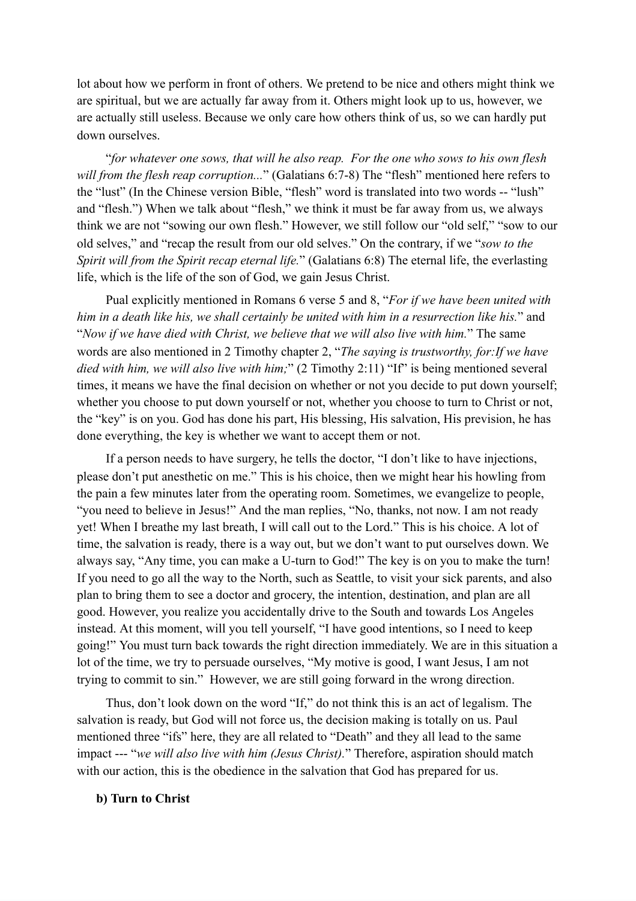lot about how we perform in front of others. We pretend to be nice and others might think we are spiritual, but we are actually far away from it. Others might look up to us, however, we are actually still useless. Because we only care how others think of us, so we can hardly put down ourselves.

"*for whatever one sows, that will he also reap. For the one who sows to his own flesh will from the flesh reap corruption...*" (Galatians 6:7-8) The "flesh" mentioned here refers to the "lust" (In the Chinese version Bible, "flesh" word is translated into two words -- "lush" and "flesh.") When we talk about "flesh," we think it must be far away from us, we always think we are not "sowing our own flesh." However, we still follow our "old self," "sow to our old selves," and "recap the result from our old selves." On the contrary, if we "*sow to the Spirit will from the Spirit recap eternal life.*" (Galatians 6:8) The eternal life, the everlasting life, which is the life of the son of God, we gain Jesus Christ.

Pual explicitly mentioned in Romans 6 verse 5 and 8, "*For if we have been united with him in a death like his, we shall certainly be united with him in a resurrection like his.*" and "*Now if we have died with Christ, we believe that we will also live with him.*" The same words are also mentioned in 2 Timothy chapter 2, "*The saying is trustworthy, for:If we have died with him, we will also live with him;*" (2 Timothy 2:11) "If" is being mentioned several times, it means we have the final decision on whether or not you decide to put down yourself; whether you choose to put down yourself or not, whether you choose to turn to Christ or not, the "key" is on you. God has done his part, His blessing, His salvation, His prevision, he has done everything, the key is whether we want to accept them or not.

If a person needs to have surgery, he tells the doctor, "I don't like to have injections, please don't put anesthetic on me." This is his choice, then we might hear his howling from the pain a few minutes later from the operating room. Sometimes, we evangelize to people, "you need to believe in Jesus!" And the man replies, "No, thanks, not now. I am not ready yet! When I breathe my last breath, I will call out to the Lord." This is his choice. A lot of time, the salvation is ready, there is a way out, but we don't want to put ourselves down. We always say, "Any time, you can make a U-turn to God!" The key is on you to make the turn! If you need to go all the way to the North, such as Seattle, to visit your sick parents, and also plan to bring them to see a doctor and grocery, the intention, destination, and plan are all good. However, you realize you accidentally drive to the South and towards Los Angeles instead. At this moment, will you tell yourself, "I have good intentions, so I need to keep going!" You must turn back towards the right direction immediately. We are in this situation a lot of the time, we try to persuade ourselves, "My motive is good, I want Jesus, I am not trying to commit to sin." However, we are still going forward in the wrong direction.

Thus, don't look down on the word "If," do not think this is an act of legalism. The salvation is ready, but God will not force us, the decision making is totally on us. Paul mentioned three "ifs" here, they are all related to "Death" and they all lead to the same impact --- "*we will also live with him (Jesus Christ).*" Therefore, aspiration should match with our action, this is the obedience in the salvation that God has prepared for us.

#### **b) Turn to Christ**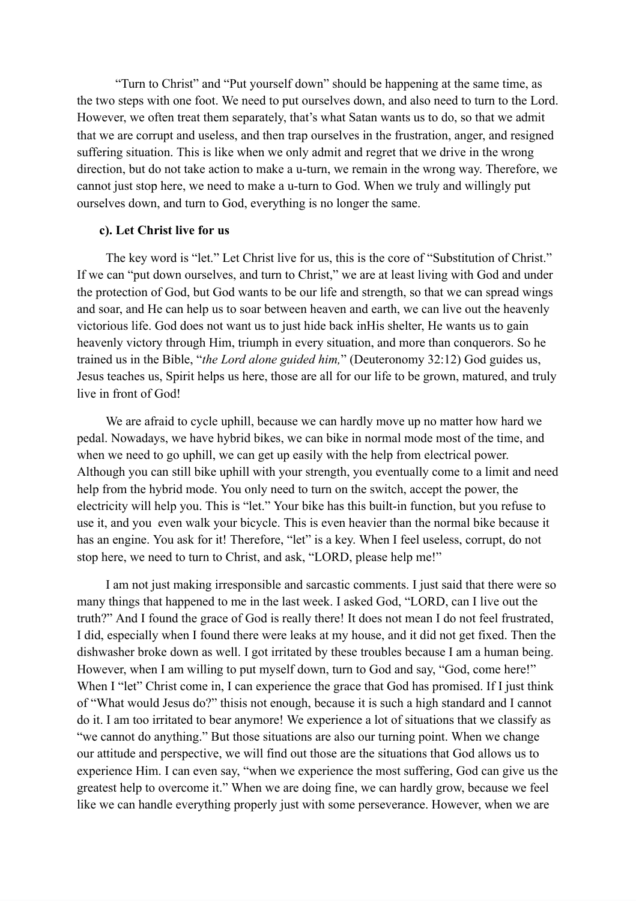"Turn to Christ" and "Put yourself down" should be happening at the same time, as the two steps with one foot. We need to put ourselves down, and also need to turn to the Lord. However, we often treat them separately, that's what Satan wants us to do, so that we admit that we are corrupt and useless, and then trap ourselves in the frustration, anger, and resigned suffering situation. This is like when we only admit and regret that we drive in the wrong direction, but do not take action to make a u-turn, we remain in the wrong way. Therefore, we cannot just stop here, we need to make a u-turn to God. When we truly and willingly put ourselves down, and turn to God, everything is no longer the same.

#### **c). Let Christ live for us**

The key word is "let." Let Christ live for us, this is the core of "Substitution of Christ." If we can "put down ourselves, and turn to Christ," we are at least living with God and under the protection of God, but God wants to be our life and strength, so that we can spread wings and soar, and He can help us to soar between heaven and earth, we can live out the heavenly victorious life. God does not want us to just hide back inHis shelter, He wants us to gain heavenly victory through Him, triumph in every situation, and more than conquerors. So he trained us in the Bible, "*the Lord alone guided him,*" (Deuteronomy 32:12) God guides us, Jesus teaches us, Spirit helps us here, those are all for our life to be grown, matured, and truly live in front of God!

We are afraid to cycle uphill, because we can hardly move up no matter how hard we pedal. Nowadays, we have hybrid bikes, we can bike in normal mode most of the time, and when we need to go uphill, we can get up easily with the help from electrical power. Although you can still bike uphill with your strength, you eventually come to a limit and need help from the hybrid mode. You only need to turn on the switch, accept the power, the electricity will help you. This is "let." Your bike has this built-in function, but you refuse to use it, and you even walk your bicycle. This is even heavier than the normal bike because it has an engine. You ask for it! Therefore, "let" is a key. When I feel useless, corrupt, do not stop here, we need to turn to Christ, and ask, "LORD, please help me!"

I am not just making irresponsible and sarcastic comments. I just said that there were so many things that happened to me in the last week. I asked God, "LORD, can I live out the truth?" And I found the grace of God is really there! It does not mean I do not feel frustrated, I did, especially when I found there were leaks at my house, and it did not get fixed. Then the dishwasher broke down as well. I got irritated by these troubles because I am a human being. However, when I am willing to put myself down, turn to God and say, "God, come here!" When I "let" Christ come in, I can experience the grace that God has promised. If I just think of "What would Jesus do?" thisis not enough, because it is such a high standard and I cannot do it. I am too irritated to bear anymore! We experience a lot of situations that we classify as "we cannot do anything." But those situations are also our turning point. When we change our attitude and perspective, we will find out those are the situations that God allows us to experience Him. I can even say, "when we experience the most suffering, God can give us the greatest help to overcome it." When we are doing fine, we can hardly grow, because we feel like we can handle everything properly just with some perseverance. However, when we are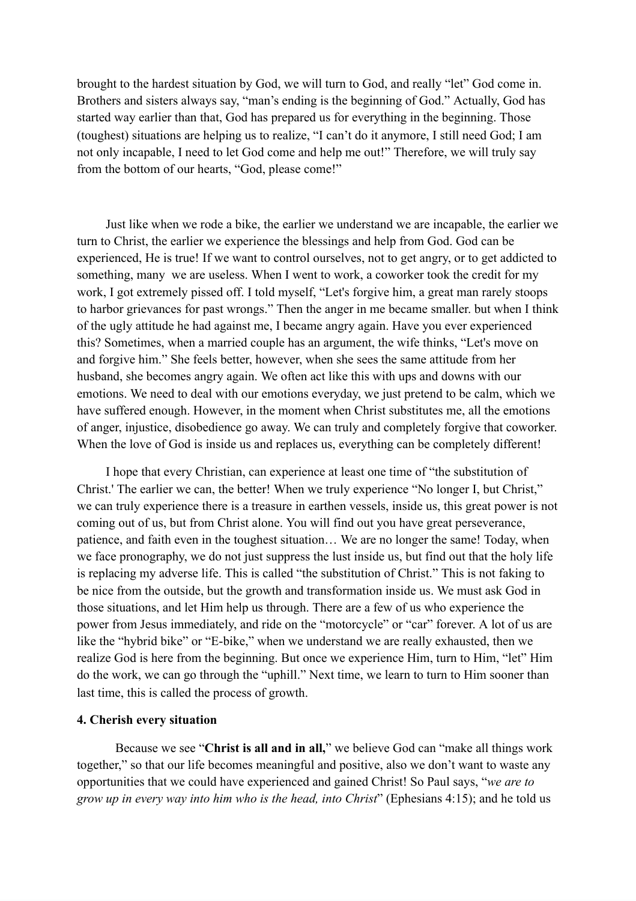brought to the hardest situation by God, we will turn to God, and really "let" God come in. Brothers and sisters always say, "man's ending is the beginning of God." Actually, God has started way earlier than that, God has prepared us for everything in the beginning. Those (toughest) situations are helping us to realize, "I can't do it anymore, I still need God; I am not only incapable, I need to let God come and help me out!" Therefore, we will truly say from the bottom of our hearts, "God, please come!"

Just like when we rode a bike, the earlier we understand we are incapable, the earlier we turn to Christ, the earlier we experience the blessings and help from God. God can be experienced, He is true! If we want to control ourselves, not to get angry, or to get addicted to something, many we are useless. When I went to work, a coworker took the credit for my work, I got extremely pissed off. I told myself, "Let's forgive him, a great man rarely stoops to harbor grievances for past wrongs." Then the anger in me became smaller. but when I think of the ugly attitude he had against me, I became angry again. Have you ever experienced this? Sometimes, when a married couple has an argument, the wife thinks, "Let's move on and forgive him." She feels better, however, when she sees the same attitude from her husband, she becomes angry again. We often act like this with ups and downs with our emotions. We need to deal with our emotions everyday, we just pretend to be calm, which we have suffered enough. However, in the moment when Christ substitutes me, all the emotions of anger, injustice, disobedience go away. We can truly and completely forgive that coworker. When the love of God is inside us and replaces us, everything can be completely different!

I hope that every Christian, can experience at least one time of "the substitution of Christ.' The earlier we can, the better! When we truly experience "No longer I, but Christ," we can truly experience there is a treasure in earthen vessels, inside us, this great power is not coming out of us, but from Christ alone. You will find out you have great perseverance, patience, and faith even in the toughest situation… We are no longer the same! Today, when we face pronography, we do not just suppress the lust inside us, but find out that the holy life is replacing my adverse life. This is called "the substitution of Christ." This is not faking to be nice from the outside, but the growth and transformation inside us. We must ask God in those situations, and let Him help us through. There are a few of us who experience the power from Jesus immediately, and ride on the "motorcycle" or "car" forever. A lot of us are like the "hybrid bike" or "E-bike," when we understand we are really exhausted, then we realize God is here from the beginning. But once we experience Him, turn to Him, "let" Him do the work, we can go through the "uphill." Next time, we learn to turn to Him sooner than last time, this is called the process of growth.

### **4. Cherish every situation**

Because we see "**Christ is all and in all,**" we believe God can "make all things work together," so that our life becomes meaningful and positive, also we don't want to waste any opportunities that we could have experienced and gained Christ! So Paul says, "*we are to grow up in every way into him who is the head, into Christ*" (Ephesians 4:15); and he told us